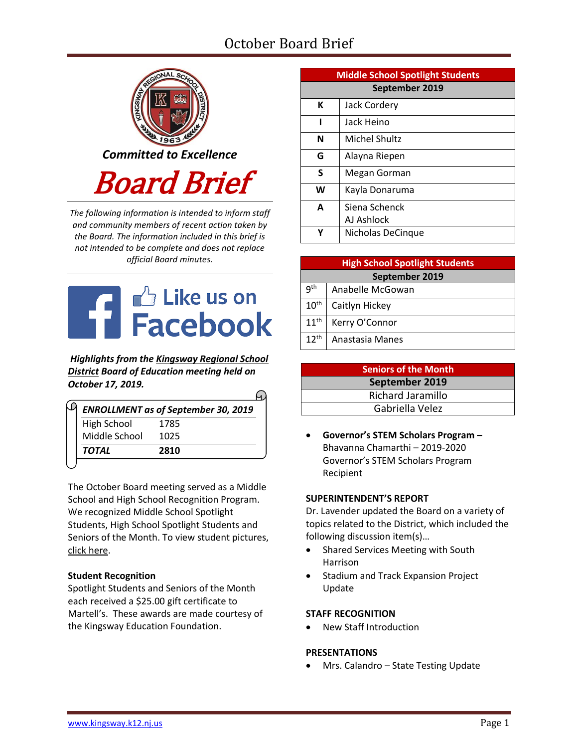# October Board Brief



*The following information is intended to inform staff and community members of recent action taken by the Board. The information included in this brief is not intended to be complete and does not replace official Board minutes.*



*Highlights from the [Kingsway Regional School](https://www.facebook.com/KingswayDragons)  [District](https://www.facebook.com/KingswayDragons) Board of Education meeting held on October 17, 2019.*  $\Omega$ 

| <b>ENROLLMENT as of September 30, 2019</b> |      |  |  |  |
|--------------------------------------------|------|--|--|--|
| <b>High School</b>                         | 1785 |  |  |  |
| Middle School                              | 1025 |  |  |  |
| <b>TOTAL</b>                               | 2810 |  |  |  |

The October Board meeting served as a Middle School and High School Recognition Program. We recognized Middle School Spotlight Students, High School Spotlight Students and Seniors of the Month. To view student picture[s,](http://www.krsd.org/Page/1303) [click here.](http://www.krsd.org/Page/1303)

# **Student Recognition**

Spotlight Students and Seniors of the Month each received a \$25.00 gift certificate to Martell's. These awards are made courtesy of the Kingsway Education Foundation.

| <b>Middle School Spotlight Students</b> |                      |  |  |  |  |
|-----------------------------------------|----------------------|--|--|--|--|
| September 2019                          |                      |  |  |  |  |
| К                                       | Jack Cordery         |  |  |  |  |
|                                         | Jack Heino           |  |  |  |  |
| N                                       | <b>Michel Shultz</b> |  |  |  |  |
| G                                       | Alayna Riepen        |  |  |  |  |
| S                                       | Megan Gorman         |  |  |  |  |
| W                                       | Kayla Donaruma       |  |  |  |  |
| A                                       | Siena Schenck        |  |  |  |  |
|                                         | AJ Ashlock           |  |  |  |  |
|                                         | Nicholas DeCinque    |  |  |  |  |

| <b>High School Spotlight Students</b> |                  |  |  |  |
|---------------------------------------|------------------|--|--|--|
| September 2019                        |                  |  |  |  |
| gth                                   | Anabelle McGowan |  |  |  |
| 10 <sup>th</sup>                      | Caitlyn Hickey   |  |  |  |
| 11 <sup>th</sup>                      | Kerry O'Connor   |  |  |  |
| $12^{th}$                             | Anastasia Manes  |  |  |  |

| <b>Seniors of the Month</b> |  |  |
|-----------------------------|--|--|
| September 2019              |  |  |
| Richard Jaramillo           |  |  |
| Gabriella Velez             |  |  |

 **Governor's STEM Scholars Program –** Bhavanna Chamarthi – 2019-2020 Governor's STEM Scholars Program Recipient

# **SUPERINTENDENT'S REPORT**

Dr. Lavender updated the Board on a variety of topics related to the District, which included the following discussion item(s)…

- Shared Services Meeting with South Harrison
- Stadium and Track Expansion Project Update

# **STAFF RECOGNITION**

New Staff Introduction

# **PRESENTATIONS**

Mrs. Calandro – State Testing Update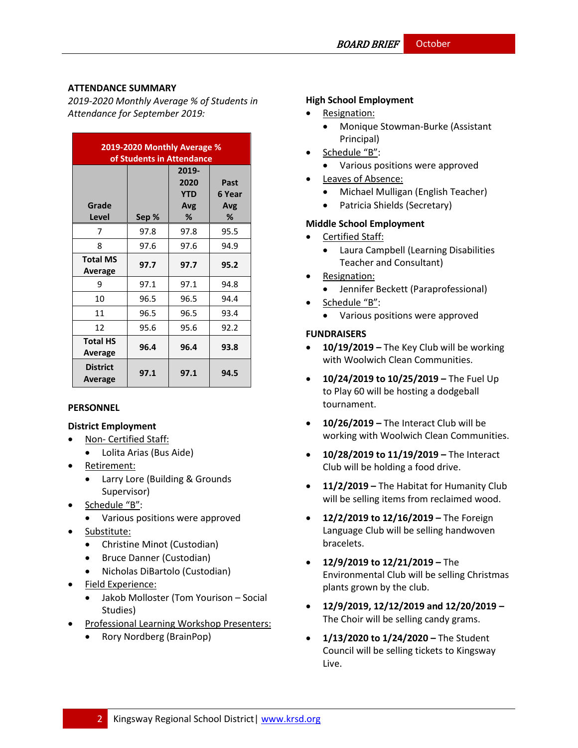# **ATTENDANCE SUMMARY**

*2019-2020 Monthly Average % of Students in Attendance for September 2019:*

| 2019-2020 Monthly Average %<br>of Students in Attendance |       |                                         |                            |  |  |  |
|----------------------------------------------------------|-------|-----------------------------------------|----------------------------|--|--|--|
| Grade<br>Level                                           | Sep % | 2019-<br>2020<br><b>YTD</b><br>Avg<br>% | Past<br>6 Year<br>Avg<br>℅ |  |  |  |
| 7                                                        | 97.8  | 97.8                                    | 95.5                       |  |  |  |
| 8                                                        | 97.6  | 97.6                                    | 94.9                       |  |  |  |
| <b>Total MS</b><br>Average                               | 97.7  | 97.7                                    | 95.2                       |  |  |  |
| 9                                                        | 97.1  | 97.1                                    | 94.8                       |  |  |  |
| 10                                                       | 96.5  | 96.5                                    | 94.4                       |  |  |  |
| 11                                                       | 96.5  | 96.5                                    | 93.4                       |  |  |  |
| 12                                                       | 95.6  | 95.6                                    | 92.2                       |  |  |  |
| <b>Total HS</b><br>Average                               | 96.4  | 96.4                                    | 93.8                       |  |  |  |
| <b>District</b><br>Average                               | 97.1  | 97.1                                    | 94.5                       |  |  |  |

#### **PERSONNEL**

# **District Employment**

- Non- Certified Staff:
	- Lolita Arias (Bus Aide)
- Retirement:
	- Larry Lore (Building & Grounds Supervisor)
- Schedule "B":
	- Various positions were approved
- Substitute:
	- Christine Minot (Custodian)
	- Bruce Danner (Custodian)
	- Nicholas DiBartolo (Custodian)
- Field Experience:
	- Jakob Molloster (Tom Yourison Social Studies)
- Professional Learning Workshop Presenters:
	- Rory Nordberg (BrainPop)

## **High School Employment**

- Resignation:
	- Monique Stowman-Burke (Assistant Principal)
- Schedule "B":
	- Various positions were approved
- Leaves of Absence:
	- Michael Mulligan (English Teacher)
	- Patricia Shields (Secretary)

# **Middle School Employment**

- Certified Staff:
	- Laura Campbell (Learning Disabilities Teacher and Consultant)
- Resignation:
	- Jennifer Beckett (Paraprofessional)
- Schedule "B":
	- Various positions were approved

# **FUNDRAISERS**

- **10/19/2019 –** The Key Club will be working with Woolwich Clean Communities.
- **10/24/2019 to 10/25/2019 –** The Fuel Up to Play 60 will be hosting a dodgeball tournament.
- **10/26/2019 –** The Interact Club will be working with Woolwich Clean Communities.
- **10/28/2019 to 11/19/2019 –** The Interact Club will be holding a food drive.
- **11/2/2019 –** The Habitat for Humanity Club will be selling items from reclaimed wood.
- **12/2/2019 to 12/16/2019 –** The Foreign Language Club will be selling handwoven bracelets.
- **12/9/2019 to 12/21/2019 –** The Environmental Club will be selling Christmas plants grown by the club.
- **12/9/2019, 12/12/2019 and 12/20/2019 –** The Choir will be selling candy grams.
- **1/13/2020 to 1/24/2020 –** The Student Council will be selling tickets to Kingsway Live.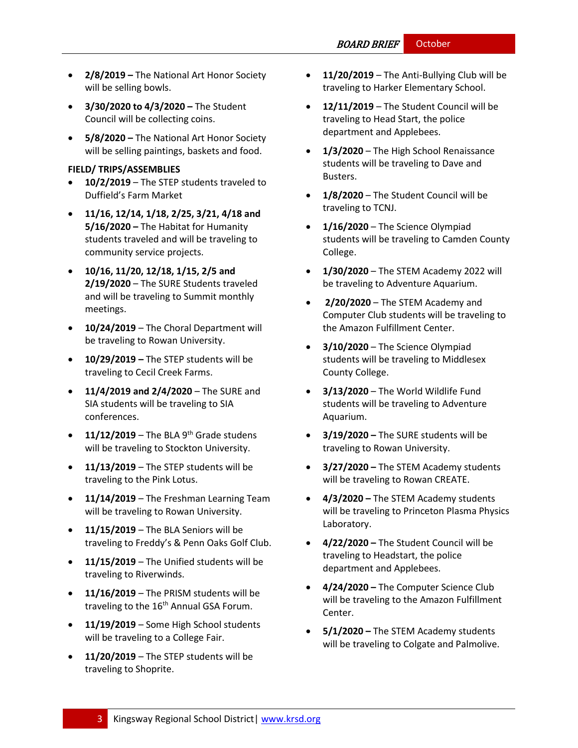- **2/8/2019 –** The National Art Honor Society will be selling bowls.
- **3/30/2020 to 4/3/2020 –** The Student Council will be collecting coins.
- **5/8/2020 –** The National Art Honor Society will be selling paintings, baskets and food.

#### **FIELD/ TRIPS/ASSEMBLIES**

- **10/2/2019**  The STEP students traveled to Duffield's Farm Market
- **11/16, 12/14, 1/18, 2/25, 3/21, 4/18 and 5/16/2020 –** The Habitat for Humanity students traveled and will be traveling to community service projects.
- **10/16, 11/20, 12/18, 1/15, 2/5 and 2/19/2020** – The SURE Students traveled and will be traveling to Summit monthly meetings.
- **10/24/2019**  The Choral Department will be traveling to Rowan University.
- **10/29/2019 –** The STEP students will be traveling to Cecil Creek Farms.
- **11/4/2019 and 2/4/2020**  The SURE and SIA students will be traveling to SIA conferences.
- $\bullet$  **11/12/2019** The BLA 9<sup>th</sup> Grade studens will be traveling to Stockton University.
- **11/13/2019**  The STEP students will be traveling to the Pink Lotus.
- **11/14/2019**  The Freshman Learning Team will be traveling to Rowan University.
- **11/15/2019**  The BLA Seniors will be traveling to Freddy's & Penn Oaks Golf Club.
- **11/15/2019**  The Unified students will be traveling to Riverwinds.
- **11/16/2019**  The PRISM students will be traveling to the 16<sup>th</sup> Annual GSA Forum.
- **11/19/2019**  Some High School students will be traveling to a College Fair.
- **11/20/2019**  The STEP students will be traveling to Shoprite.
- **11/20/2019**  The Anti-Bullying Club will be traveling to Harker Elementary School.
- **12/11/2019**  The Student Council will be traveling to Head Start, the police department and Applebees.
- **1/3/2020**  The High School Renaissance students will be traveling to Dave and Busters.
- **1/8/2020**  The Student Council will be traveling to TCNJ.
- **1/16/2020**  The Science Olympiad students will be traveling to Camden County College.
- **1/30/2020**  The STEM Academy 2022 will be traveling to Adventure Aquarium.
- **2/20/2020** The STEM Academy and Computer Club students will be traveling to the Amazon Fulfillment Center.
- **3/10/2020** The Science Olympiad students will be traveling to Middlesex County College.
- **3/13/2020** The World Wildlife Fund students will be traveling to Adventure Aquarium.
- **3/19/2020 –** The SURE students will be traveling to Rowan University.
- **3/27/2020 –** The STEM Academy students will be traveling to Rowan CREATE.
- **4/3/2020 –** The STEM Academy students will be traveling to Princeton Plasma Physics Laboratory.
- **4/22/2020 –** The Student Council will be traveling to Headstart, the police department and Applebees.
- **4/24/2020 –** The Computer Science Club will be traveling to the Amazon Fulfillment Center.
- **5/1/2020 –** The STEM Academy students will be traveling to Colgate and Palmolive.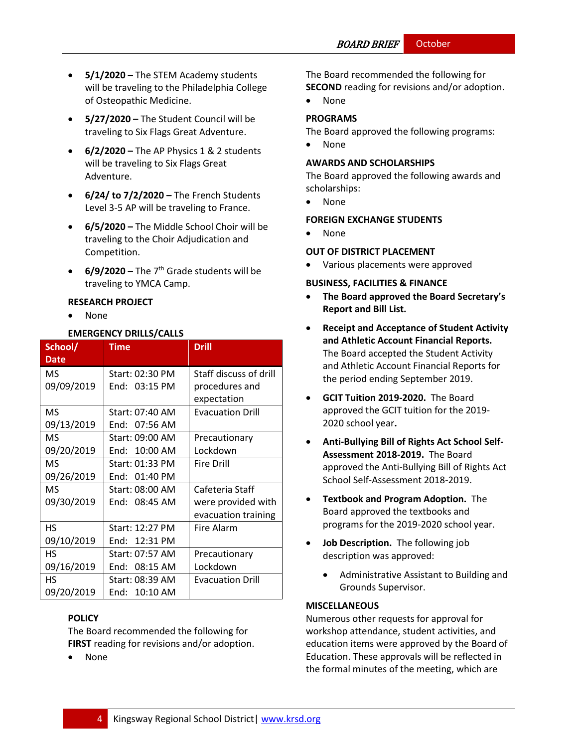- **5/1/2020 –** The STEM Academy students will be traveling to the Philadelphia College of Osteopathic Medicine.
- **5/27/2020 –** The Student Council will be traveling to Six Flags Great Adventure.
- **6/2/2020 –** The AP Physics 1 & 2 students will be traveling to Six Flags Great Adventure.
- **6/24/ to 7/2/2020 –** The French Students Level 3-5 AP will be traveling to France.
- **6/5/2020 –** The Middle School Choir will be traveling to the Choir Adjudication and Competition.
- $\bullet$  **6/9/2020** The 7<sup>th</sup> Grade students will be traveling to YMCA Camp.

#### **RESEARCH PROJECT**

None

## **EMERGENCY DRILLS/CALLS**

| School/<br><b>Date</b> | <b>Time</b>     | <b>Drill</b>            |
|------------------------|-----------------|-------------------------|
| MS.                    | Start: 02:30 PM | Staff discuss of drill  |
| 09/09/2019             | End: 03:15 PM   | procedures and          |
|                        |                 | expectation             |
| <b>MS</b>              | Start: 07:40 AM | <b>Evacuation Drill</b> |
| 09/13/2019             | End: 07:56 AM   |                         |
| MS.                    | Start: 09:00 AM | Precautionary           |
| 09/20/2019             | End: 10:00 AM   | Lockdown                |
| MS                     | Start: 01:33 PM | <b>Fire Drill</b>       |
| 09/26/2019             | End: 01:40 PM   |                         |
| MS.                    | Start: 08:00 AM | Cafeteria Staff         |
| 09/30/2019             | End: 08:45 AM   | were provided with      |
|                        |                 | evacuation training     |
| <b>HS</b>              | Start: 12:27 PM | <b>Fire Alarm</b>       |
| 09/10/2019             | End: 12:31 PM   |                         |
| <b>HS</b>              | Start: 07:57 AM | Precautionary           |
| 09/16/2019             | End: 08:15 AM   | Lockdown                |
| HS.                    | Start: 08:39 AM | <b>Evacuation Drill</b> |
| 09/20/2019             | End: 10:10 AM   |                         |

# **[POLICY](http://www.straussesmay.com/seportal/Public/DistrictPolicyTOC.aspx?id=f0cc945ef3894b8d9ad5f87d948ca425&PolicyID=)**

The Board recommended the following for **FIRST** reading for revisions and/or adoption.

None

The Board recommended the following for **SECOND** reading for revisions and/or adoption.

None

## **PROGRAMS**

The Board approved the following programs:

None

## **AWARDS AND SCHOLARSHIPS**

The Board approved the following awards and scholarships:

None

# **FOREIGN EXCHANGE STUDENTS**

• None

# **OUT OF DISTRICT PLACEMENT**

Various placements were approved

## **BUSINESS, FACILITIES & FINANCE**

- **The Board approved the Board Secretary's Report and Bill List.**
- **Receipt and Acceptance of Student Activity and Athletic Account Financial Reports.**  The Board accepted the Student Activity and Athletic Account Financial Reports for the period ending September 2019.
- **GCIT Tuition 2019-2020.** The Board approved the GCIT tuition for the 2019- 2020 school year**.**
- **Anti-Bullying Bill of Rights Act School Self-Assessment 2018-2019.** The Board approved the Anti-Bullying Bill of Rights Act School Self-Assessment 2018-2019.
- **Textbook and Program Adoption.** The Board approved the textbooks and programs for the 2019-2020 school year.
- **Job Description.** The following job description was approved:
	- Administrative Assistant to Building and Grounds Supervisor.

# **MISCELLANEOUS**

Numerous other requests for approval for workshop attendance, student activities, and education items were approved by the Board of Education. These approvals will be reflected in the formal minutes of the meeting, which are